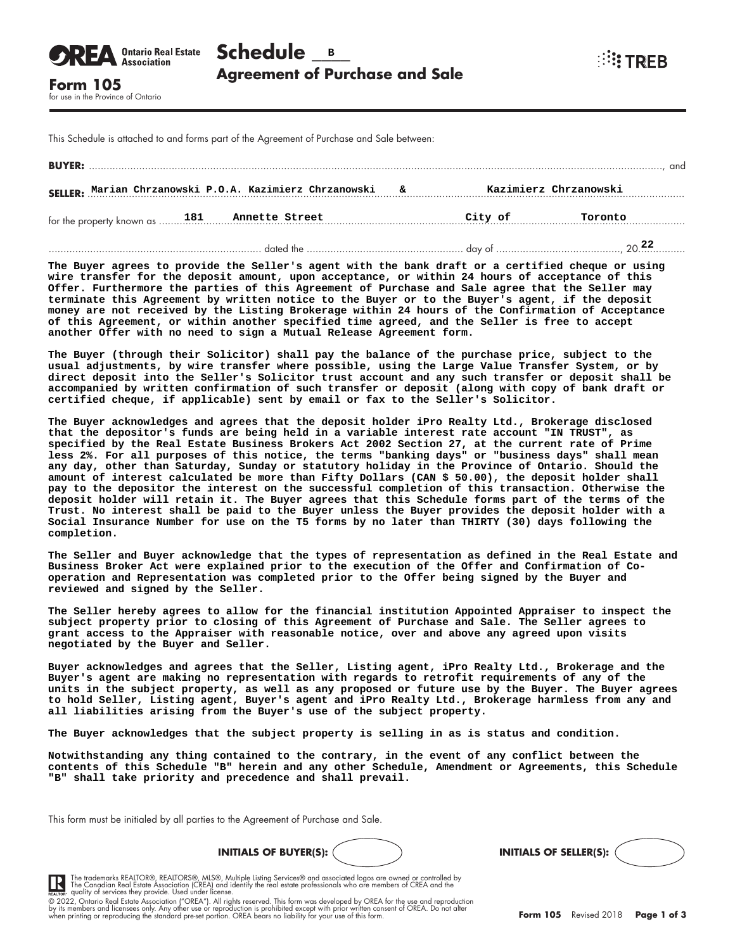| <b>OREA</b> <i><b>Ontario Real Estate</b></i> Schedule <b>B</b> |                                       |  |  |  |  |
|-----------------------------------------------------------------|---------------------------------------|--|--|--|--|
| Form 105                                                        | <b>Agreement of Purchase and Sale</b> |  |  |  |  |

**WE TREB** 

**SREA** Ontario Real Estate

This Schedule is attached to and forms part of the Agreement of Purchase and Sale between:

| <b>BUYER:</b>                                                                      |  |  |  |         |         |
|------------------------------------------------------------------------------------|--|--|--|---------|---------|
| SELLER: Marian Chrzanowski P.O.A. Kazimierz Chrzanowski &<br>Kazimierz Chrzanowski |  |  |  |         |         |
|                                                                                    |  |  |  | City of | Toronto |
|                                                                                    |  |  |  |         |         |

**The Buyer agrees to provide the Seller's agent with the bank draft or a certified cheque or using wire transfer for the deposit amount, upon acceptance, or within 24 hours of acceptance of this Offer. Furthermore the parties of this Agreement of Purchase and Sale agree that the Seller may terminate this Agreement by written notice to the Buyer or to the Buyer's agent, if the deposit money are not received by the Listing Brokerage within 24 hours of the Confirmation of Acceptance of this Agreement, or within another specified time agreed, and the Seller is free to accept another Offer with no need to sign a Mutual Release Agreement form.**

**The Buyer (through their Solicitor) shall pay the balance of the purchase price, subject to the usual adjustments, by wire transfer where possible, using the Large Value Transfer System, or by direct deposit into the Seller's Solicitor trust account and any such transfer or deposit shall be accompanied by written confirmation of such transfer or deposit (along with copy of bank draft or certified cheque, if applicable) sent by email or fax to the Seller's Solicitor.**

**The Buyer acknowledges and agrees that the deposit holder iPro Realty Ltd., Brokerage disclosed that the depositor's funds are being held in a variable interest rate account "IN TRUST", as specified by the Real Estate Business Brokers Act 2002 Section 27, at the current rate of Prime less 2%. For all purposes of this notice, the terms "banking days" or "business days" shall mean any day, other than Saturday, Sunday or statutory holiday in the Province of Ontario. Should the amount of interest calculated be more than Fifty Dollars (CAN \$ 50.00), the deposit holder shall pay to the depositor the interest on the successful completion of this transaction. Otherwise the deposit holder will retain it. The Buyer agrees that this Schedule forms part of the terms of the Trust. No interest shall be paid to the Buyer unless the Buyer provides the deposit holder with a Social Insurance Number for use on the T5 forms by no later than THIRTY (30) days following the completion.**

**The Seller and Buyer acknowledge that the types of representation as defined in the Real Estate and Business Broker Act were explained prior to the execution of the Offer and Confirmation of Cooperation and Representation was completed prior to the Offer being signed by the Buyer and reviewed and signed by the Seller.**

**The Seller hereby agrees to allow for the financial institution Appointed Appraiser to inspect the subject property prior to closing of this Agreement of Purchase and Sale. The Seller agrees to grant access to the Appraiser with reasonable notice, over and above any agreed upon visits negotiated by the Buyer and Seller.**

**Buyer acknowledges and agrees that the Seller, Listing agent, iPro Realty Ltd., Brokerage and the Buyer's agent are making no representation with regards to retrofit requirements of any of the units in the subject property, as well as any proposed or future use by the Buyer. The Buyer agrees to hold Seller, Listing agent, Buyer's agent and iPro Realty Ltd., Brokerage harmless from any and all liabilities arising from the Buyer's use of the subject property.**

**The Buyer acknowledges that the subject property is selling in as is status and condition.**

**Notwithstanding any thing contained to the contrary, in the event of any conflict between the contents of this Schedule "B" herein and any other Schedule, Amendment or Agreements, this Schedule "B" shall take priority and precedence and shall prevail.**

This form must be initialed by all parties to the Agreement of Purchase and Sale.







The trademarks REALTOR®, REALTORS®, MLS®, Multiple Listing Services® and associated logos are owned or controlled by<br>The Canadian Real Estate Association (CREA) and identify the real estate professionals who are members of **IR** 

by its members and licensees only. Any other use or reproduction is prohibited except with prior written consent of OREA. Do not alter<br>when printing or reproducing the standard pre-set portion. OREA bears no liability for © 2022, Ontario Real Estate Association ("OREA"). All rights reserved. This form was developed by OREA for the use and reproduction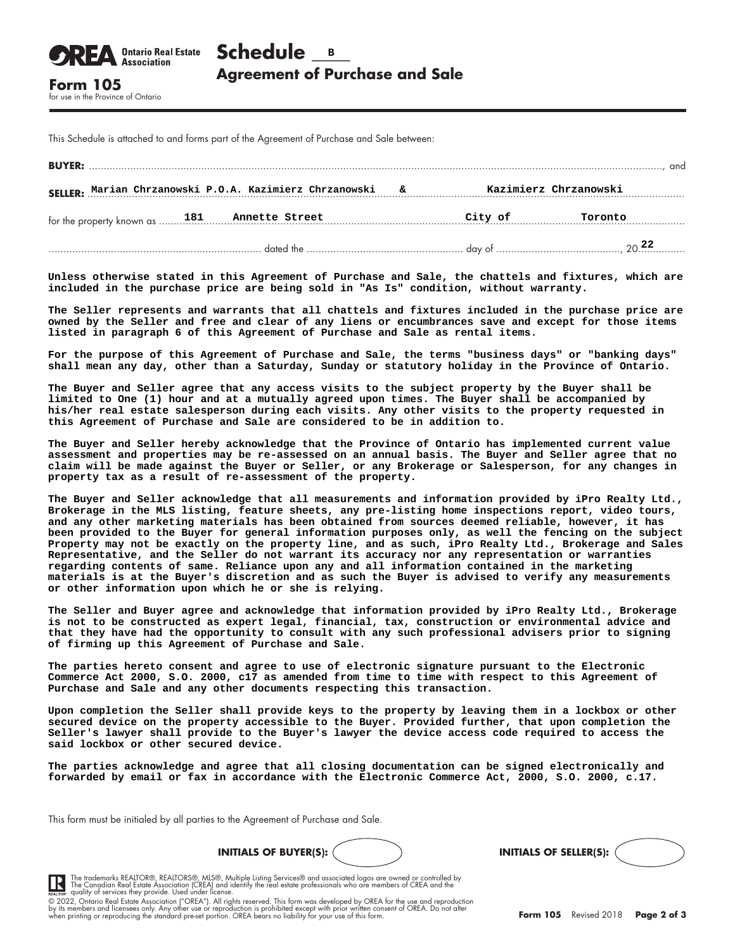This Schedule is attached to and forms part of the Agreement of Purchase and Sale between:

for use in the Province of Ontario

**Association** 

| <b>BUYER:</b>                                                                      |  |  |  |         |         | and |
|------------------------------------------------------------------------------------|--|--|--|---------|---------|-----|
| SELLER: Marian Chrzanowski P.O.A. Kazimierz Chrzanowski &<br>Kazimierz Chrzanowski |  |  |  |         |         |     |
|                                                                                    |  |  |  | City of | Toronto |     |
|                                                                                    |  |  |  |         |         |     |

**Unless otherwise stated in this Agreement of Purchase and Sale, the chattels and fixtures, which are included in the purchase price are being sold in "As Is" condition, without warranty.**

**The Seller represents and warrants that all chattels and fixtures included in the purchase price are owned by the Seller and free and clear of any liens or encumbrances save and except for those items listed in paragraph 6 of this Agreement of Purchase and Sale as rental items.**

**For the purpose of this Agreement of Purchase and Sale, the terms "business days" or "banking days" shall mean any day, other than a Saturday, Sunday or statutory holiday in the Province of Ontario.**

**The Buyer and Seller agree that any access visits to the subject property by the Buyer shall be limited to One (1) hour and at a mutually agreed upon times. The Buyer shall be accompanied by his/her real estate salesperson during each visits. Any other visits to the property requested in this Agreement of Purchase and Sale are considered to be in addition to.**

**The Buyer and Seller hereby acknowledge that the Province of Ontario has implemented current value assessment and properties may be re-assessed on an annual basis. The Buyer and Seller agree that no claim will be made against the Buyer or Seller, or any Brokerage or Salesperson, for any changes in property tax as a result of re-assessment of the property.**

**The Buyer and Seller acknowledge that all measurements and information provided by iPro Realty Ltd., Brokerage in the MLS listing, feature sheets, any pre-listing home inspections report, video tours, and any other marketing materials has been obtained from sources deemed reliable, however, it has been provided to the Buyer for general information purposes only, as well the fencing on the subject Property may not be exactly on the property line, and as such, iPro Realty Ltd., Brokerage and Sales Representative, and the Seller do not warrant its accuracy nor any representation or warranties regarding contents of same. Reliance upon any and all information contained in the marketing materials is at the Buyer's discretion and as such the Buyer is advised to verify any measurements or other information upon which he or she is relying.**

**The Seller and Buyer agree and acknowledge that information provided by iPro Realty Ltd., Brokerage is not to be constructed as expert legal, financial, tax, construction or environmental advice and that they have had the opportunity to consult with any such professional advisers prior to signing of firming up this Agreement of Purchase and Sale.**

**The parties hereto consent and agree to use of electronic signature pursuant to the Electronic Commerce Act 2000, S.O. 2000, c17 as amended from time to time with respect to this Agreement of Purchase and Sale and any other documents respecting this transaction.**

**Upon completion the Seller shall provide keys to the property by leaving them in a lockbox or other secured device on the property accessible to the Buyer. Provided further, that upon completion the Seller's lawyer shall provide to the Buyer's lawyer the device access code required to access the said lockbox or other secured device.**

**The parties acknowledge and agree that all closing documentation can be signed electronically and forwarded by email or fax in accordance with the Electronic Commerce Act, 2000, S.O. 2000, c.17.**

This form must be initialed by all parties to the Agreement of Purchase and Sale.





The trademarks REALTOR®, REALTORS®, MLS®, Multiple Listing Services® and associated logos are owned or controlled by<br>The Canadian Real Estate Association (CREA) and identify the real estate professionals who are members of

**IR** 

by its members and licensees only. Any other use or reproduction is prohibited except with prior written consent of OREA. Do not alter<br>when printing or reproducing the standard pre-set portion. OREA bears no liability for © 2022, Ontario Real Estate Association ("OREA"). All rights reserved. This form was developed by OREA for the use and reproduction